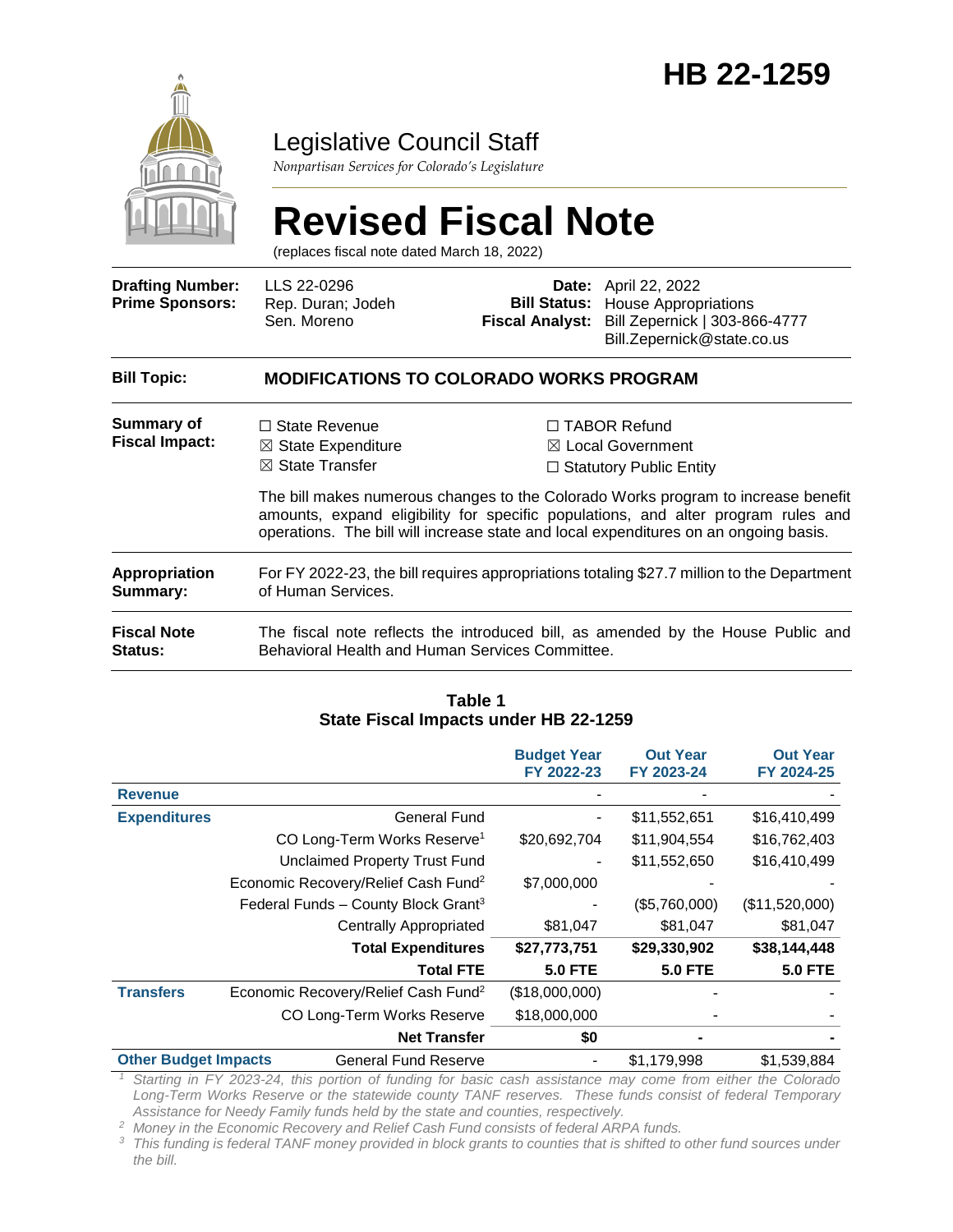

### Legislative Council Staff

*Nonpartisan Services for Colorado's Legislature*

# **Revised Fiscal Note**

(replaces fiscal note dated March 18, 2022)

| <b>Drafting Number:</b><br><b>Prime Sponsors:</b> | LLS 22-0296<br>Rep. Duran; Jodeh<br>Sen. Moreno                                                                                                                                                                                                                |  | <b>Date:</b> April 22, 2022<br><b>Bill Status:</b> House Appropriations<br>Fiscal Analyst: Bill Zepernick   303-866-4777<br>Bill.Zepernick@state.co.us |
|---------------------------------------------------|----------------------------------------------------------------------------------------------------------------------------------------------------------------------------------------------------------------------------------------------------------------|--|--------------------------------------------------------------------------------------------------------------------------------------------------------|
| <b>Bill Topic:</b>                                | <b>MODIFICATIONS TO COLORADO WORKS PROGRAM</b>                                                                                                                                                                                                                 |  |                                                                                                                                                        |
| Summary of<br><b>Fiscal Impact:</b>               | $\Box$ State Revenue<br>$\boxtimes$ State Expenditure<br>$\boxtimes$ State Transfer                                                                                                                                                                            |  | $\Box$ TABOR Refund<br>$\boxtimes$ Local Government<br>$\Box$ Statutory Public Entity                                                                  |
|                                                   | The bill makes numerous changes to the Colorado Works program to increase benefit<br>amounts, expand eligibility for specific populations, and alter program rules and<br>operations. The bill will increase state and local expenditures on an ongoing basis. |  |                                                                                                                                                        |
| Appropriation<br>Summary:                         | For FY 2022-23, the bill requires appropriations totaling \$27.7 million to the Department<br>of Human Services.                                                                                                                                               |  |                                                                                                                                                        |
| <b>Fiscal Note</b><br>Status:                     | The fiscal note reflects the introduced bill, as amended by the House Public and<br>Behavioral Health and Human Services Committee.                                                                                                                            |  |                                                                                                                                                        |

#### **Table 1 State Fiscal Impacts under HB 22-1259**

|                             |                                                 | <b>Budget Year</b> | <b>Out Year</b> | <b>Out Year</b> |
|-----------------------------|-------------------------------------------------|--------------------|-----------------|-----------------|
|                             |                                                 | FY 2022-23         | FY 2023-24      | FY 2024-25      |
| <b>Revenue</b>              |                                                 |                    |                 |                 |
| <b>Expenditures</b>         | <b>General Fund</b>                             |                    | \$11,552,651    | \$16,410,499    |
|                             | CO Long-Term Works Reserve <sup>1</sup>         | \$20,692,704       | \$11,904,554    | \$16,762,403    |
|                             | <b>Unclaimed Property Trust Fund</b>            |                    | \$11,552,650    | \$16,410,499    |
|                             | Economic Recovery/Relief Cash Fund <sup>2</sup> | \$7,000,000        |                 |                 |
|                             | Federal Funds - County Block Grant <sup>3</sup> |                    | (\$5,760,000)   | (\$11,520,000)  |
|                             | <b>Centrally Appropriated</b>                   | \$81,047           | \$81,047        | \$81,047        |
|                             | <b>Total Expenditures</b>                       | \$27,773,751       | \$29,330,902    | \$38,144,448    |
|                             | <b>Total FTE</b>                                | <b>5.0 FTE</b>     | <b>5.0 FTE</b>  | <b>5.0 FTE</b>  |
| <b>Transfers</b>            | Economic Recovery/Relief Cash Fund <sup>2</sup> | (\$18,000,000)     |                 |                 |
|                             | CO Long-Term Works Reserve                      | \$18,000,000       |                 |                 |
|                             | <b>Net Transfer</b>                             | \$0                |                 |                 |
| <b>Other Budget Impacts</b> | <b>General Fund Reserve</b>                     |                    | \$1,179,998     | \$1,539,884     |

*<sup>1</sup> Starting in FY 2023-24, this portion of funding for basic cash assistance may come from either the Colorado Long-Term Works Reserve or the statewide county TANF reserves. These funds consist of federal Temporary Assistance for Needy Family funds held by the state and counties, respectively.*

*<sup>2</sup> Money in the Economic Recovery and Relief Cash Fund consists of federal ARPA funds.*

*<sup>3</sup> This funding is federal TANF money provided in block grants to counties that is shifted to other fund sources under the bill.*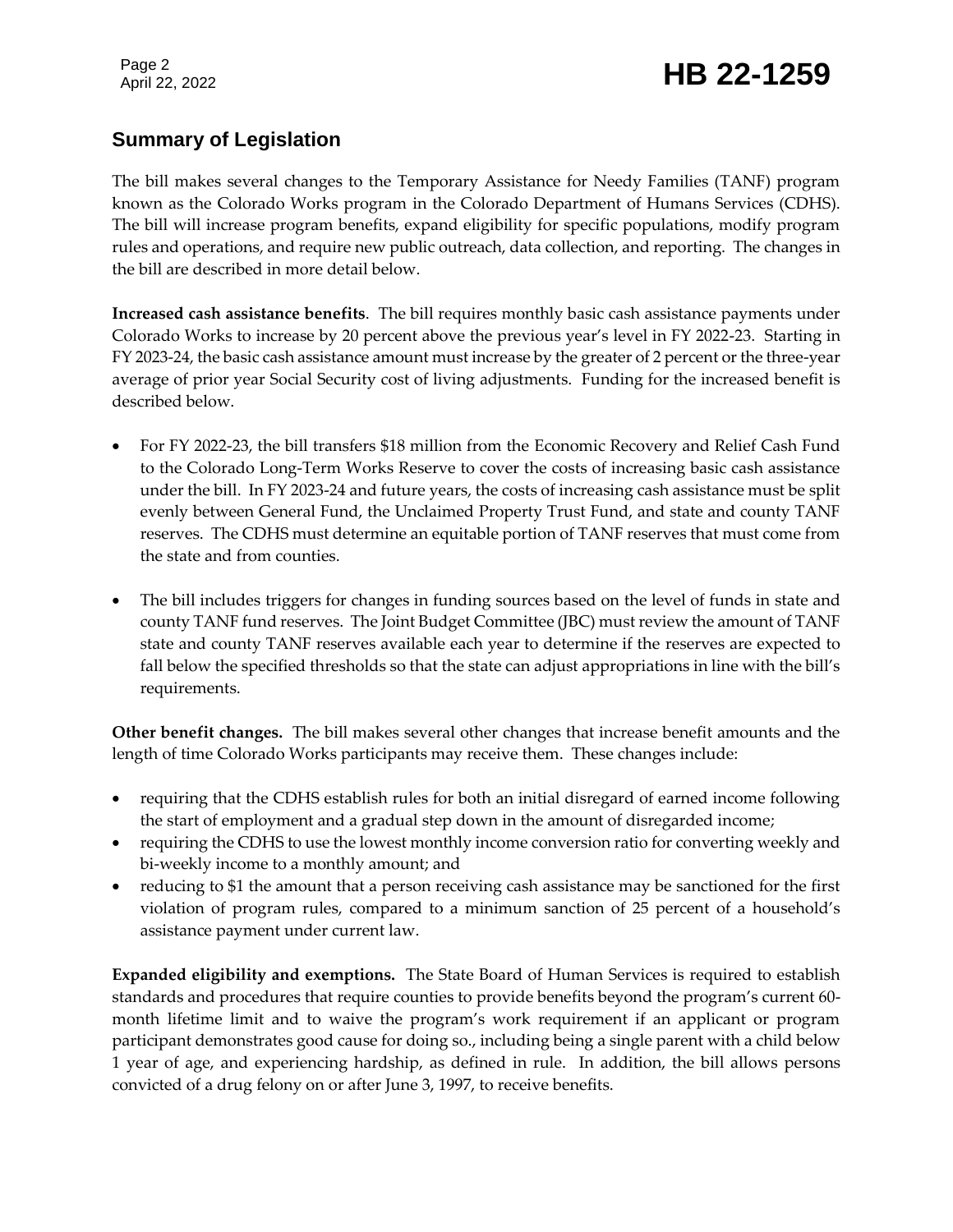### Page 2<br>April 22, 2022 **HB 22-1259**

#### **Summary of Legislation**

The bill makes several changes to the Temporary Assistance for Needy Families (TANF) program known as the Colorado Works program in the Colorado Department of Humans Services (CDHS). The bill will increase program benefits, expand eligibility for specific populations, modify program rules and operations, and require new public outreach, data collection, and reporting. The changes in the bill are described in more detail below.

**Increased cash assistance benefits**. The bill requires monthly basic cash assistance payments under Colorado Works to increase by 20 percent above the previous year's level in FY 2022-23. Starting in FY 2023-24, the basic cash assistance amount must increase by the greater of 2 percent or the three-year average of prior year Social Security cost of living adjustments. Funding for the increased benefit is described below.

- For FY 2022-23, the bill transfers \$18 million from the Economic Recovery and Relief Cash Fund to the Colorado Long-Term Works Reserve to cover the costs of increasing basic cash assistance under the bill. In FY 2023-24 and future years, the costs of increasing cash assistance must be split evenly between General Fund, the Unclaimed Property Trust Fund, and state and county TANF reserves. The CDHS must determine an equitable portion of TANF reserves that must come from the state and from counties.
- The bill includes triggers for changes in funding sources based on the level of funds in state and county TANF fund reserves. The Joint Budget Committee (JBC) must review the amount of TANF state and county TANF reserves available each year to determine if the reserves are expected to fall below the specified thresholds so that the state can adjust appropriations in line with the bill's requirements.

**Other benefit changes.** The bill makes several other changes that increase benefit amounts and the length of time Colorado Works participants may receive them. These changes include:

- requiring that the CDHS establish rules for both an initial disregard of earned income following the start of employment and a gradual step down in the amount of disregarded income;
- requiring the CDHS to use the lowest monthly income conversion ratio for converting weekly and bi-weekly income to a monthly amount; and
- reducing to \$1 the amount that a person receiving cash assistance may be sanctioned for the first violation of program rules, compared to a minimum sanction of 25 percent of a household's assistance payment under current law.

**Expanded eligibility and exemptions.** The State Board of Human Services is required to establish standards and procedures that require counties to provide benefits beyond the program's current 60 month lifetime limit and to waive the program's work requirement if an applicant or program participant demonstrates good cause for doing so., including being a single parent with a child below 1 year of age, and experiencing hardship, as defined in rule. In addition, the bill allows persons convicted of a drug felony on or after June 3, 1997, to receive benefits.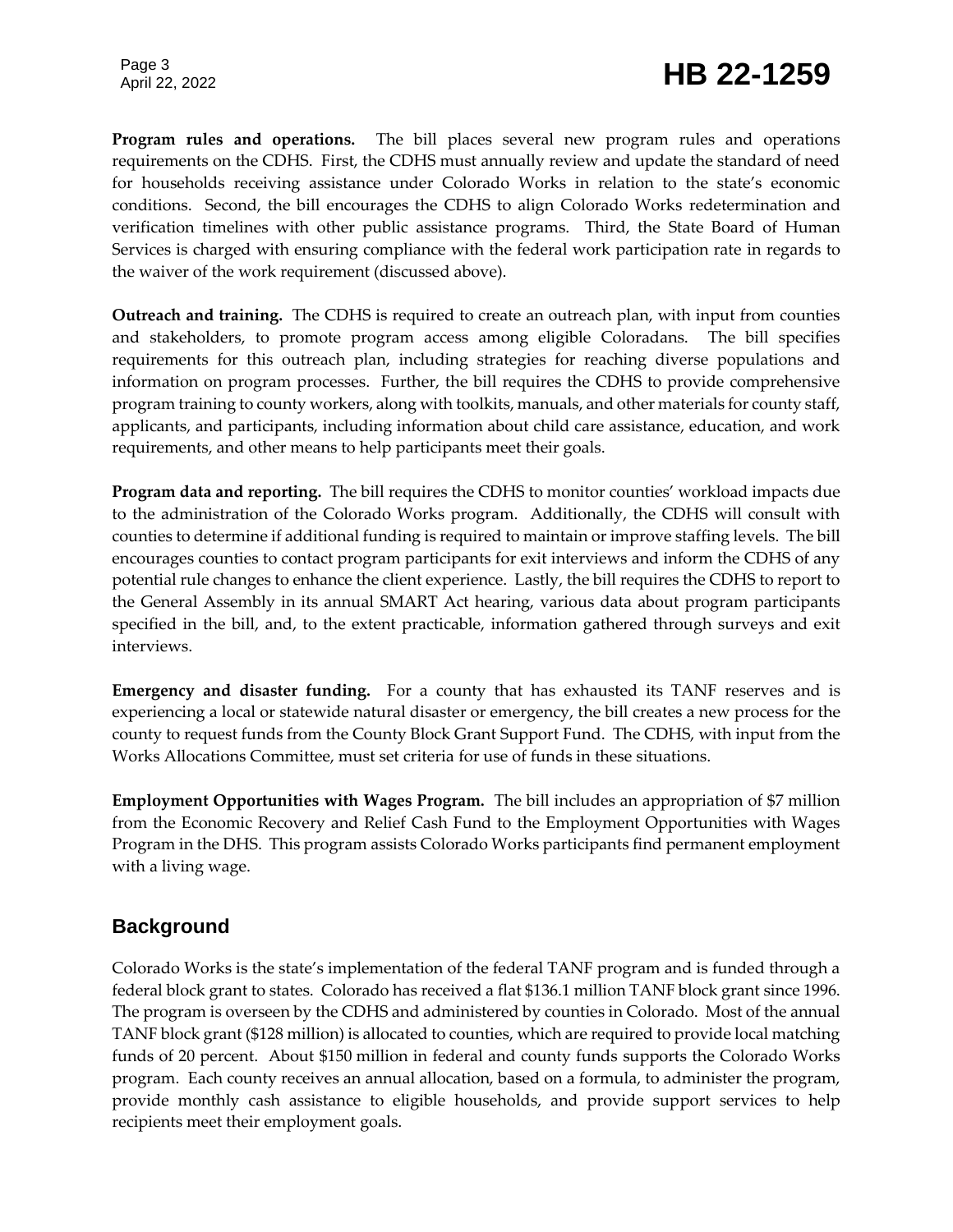## Page 3<br>April 22, 2022 **HB 22-1259**

**Program rules and operations.** The bill places several new program rules and operations requirements on the CDHS. First, the CDHS must annually review and update the standard of need for households receiving assistance under Colorado Works in relation to the state's economic conditions. Second, the bill encourages the CDHS to align Colorado Works redetermination and verification timelines with other public assistance programs. Third, the State Board of Human Services is charged with ensuring compliance with the federal work participation rate in regards to the waiver of the work requirement (discussed above).

**Outreach and training.**The CDHS is required to create an outreach plan, with input from counties and stakeholders, to promote program access among eligible Coloradans. The bill specifies requirements for this outreach plan, including strategies for reaching diverse populations and information on program processes. Further, the bill requires the CDHS to provide comprehensive program training to county workers, along with toolkits, manuals, and other materials for county staff, applicants, and participants, including information about child care assistance, education, and work requirements, and other means to help participants meet their goals.

**Program data and reporting.** The bill requires the CDHS to monitor counties' workload impacts due to the administration of the Colorado Works program. Additionally, the CDHS will consult with counties to determine if additional funding is required to maintain or improve staffing levels. The bill encourages counties to contact program participants for exit interviews and inform the CDHS of any potential rule changes to enhance the client experience. Lastly, the bill requires the CDHS to report to the General Assembly in its annual SMART Act hearing, various data about program participants specified in the bill, and, to the extent practicable, information gathered through surveys and exit interviews.

**Emergency and disaster funding.** For a county that has exhausted its TANF reserves and is experiencing a local or statewide natural disaster or emergency, the bill creates a new process for the county to request funds from the County Block Grant Support Fund. The CDHS, with input from the Works Allocations Committee, must set criteria for use of funds in these situations.

**Employment Opportunities with Wages Program.** The bill includes an appropriation of \$7 million from the Economic Recovery and Relief Cash Fund to the Employment Opportunities with Wages Program in the DHS. This program assists Colorado Works participants find permanent employment with a living wage.

#### **Background**

Colorado Works is the state's implementation of the federal TANF program and is funded through a federal block grant to states. Colorado has received a flat \$136.1 million TANF block grant since 1996. The program is overseen by the CDHS and administered by counties in Colorado. Most of the annual TANF block grant (\$128 million) is allocated to counties, which are required to provide local matching funds of 20 percent. About \$150 million in federal and county funds supports the Colorado Works program. Each county receives an annual allocation, based on a formula, to administer the program, provide monthly cash assistance to eligible households, and provide support services to help recipients meet their employment goals.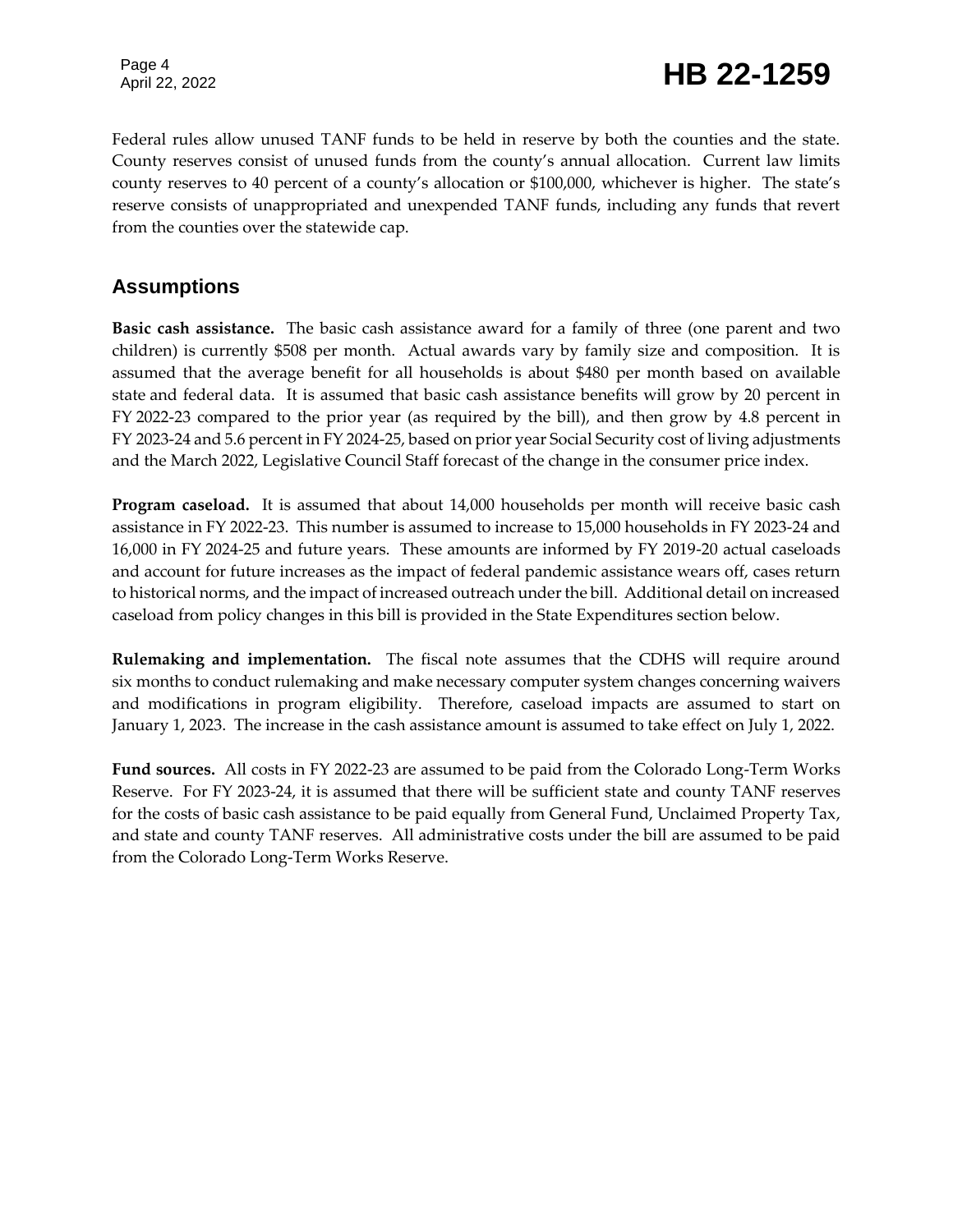### Page 4<br>April 22, 2022 **HB 22-1259**

Federal rules allow unused TANF funds to be held in reserve by both the counties and the state. County reserves consist of unused funds from the county's annual allocation. Current law limits county reserves to 40 percent of a county's allocation or \$100,000, whichever is higher. The state's reserve consists of unappropriated and unexpended TANF funds, including any funds that revert from the counties over the statewide cap.

#### **Assumptions**

**Basic cash assistance.** The basic cash assistance award for a family of three (one parent and two children) is currently \$508 per month. Actual awards vary by family size and composition. It is assumed that the average benefit for all households is about \$480 per month based on available state and federal data. It is assumed that basic cash assistance benefits will grow by 20 percent in FY 2022-23 compared to the prior year (as required by the bill), and then grow by 4.8 percent in FY 2023-24 and 5.6 percent in FY 2024-25, based on prior year Social Security cost of living adjustments and the March 2022, Legislative Council Staff forecast of the change in the consumer price index.

**Program caseload.** It is assumed that about 14,000 households per month will receive basic cash assistance in FY 2022-23. This number is assumed to increase to 15,000 households in FY 2023-24 and 16,000 in FY 2024-25 and future years. These amounts are informed by FY 2019-20 actual caseloads and account for future increases as the impact of federal pandemic assistance wears off, cases return to historical norms, and the impact of increased outreach under the bill. Additional detail on increased caseload from policy changes in this bill is provided in the State Expenditures section below.

**Rulemaking and implementation.** The fiscal note assumes that the CDHS will require around six months to conduct rulemaking and make necessary computer system changes concerning waivers and modifications in program eligibility. Therefore, caseload impacts are assumed to start on January 1, 2023. The increase in the cash assistance amount is assumed to take effect on July 1, 2022.

**Fund sources.** All costs in FY 2022-23 are assumed to be paid from the Colorado Long-Term Works Reserve. For FY 2023-24, it is assumed that there will be sufficient state and county TANF reserves for the costs of basic cash assistance to be paid equally from General Fund, Unclaimed Property Tax, and state and county TANF reserves. All administrative costs under the bill are assumed to be paid from the Colorado Long-Term Works Reserve.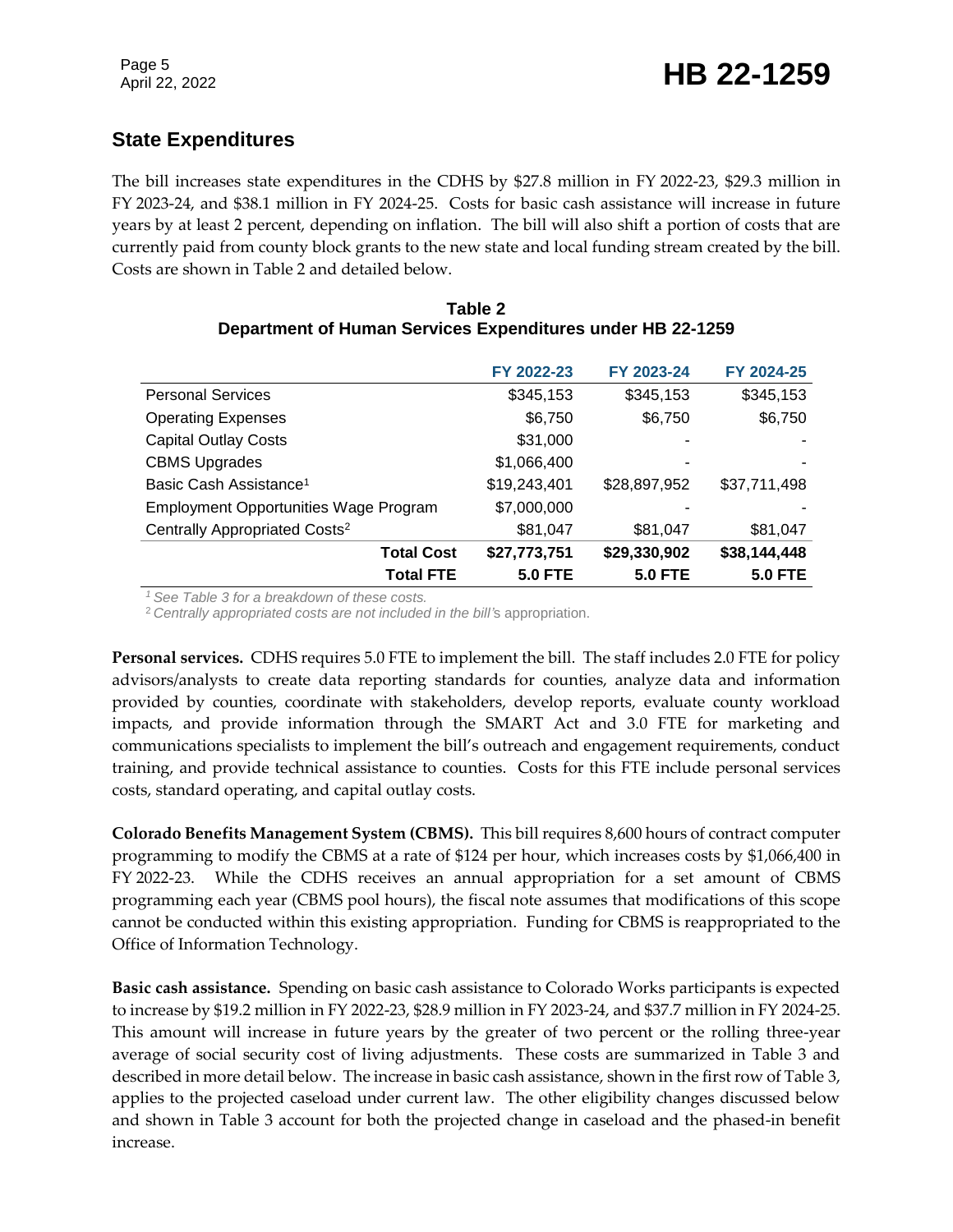#### **State Expenditures**

The bill increases state expenditures in the CDHS by \$27.8 million in FY 2022-23, \$29.3 million in FY 2023-24, and \$38.1 million in FY 2024-25. Costs for basic cash assistance will increase in future years by at least 2 percent, depending on inflation. The bill will also shift a portion of costs that are currently paid from county block grants to the new state and local funding stream created by the bill. Costs are shown in Table 2 and detailed below.

|                                              | FY 2022-23     | FY 2023-24     | FY 2024-25     |
|----------------------------------------------|----------------|----------------|----------------|
| <b>Personal Services</b>                     | \$345,153      | \$345,153      | \$345,153      |
| <b>Operating Expenses</b>                    | \$6,750        | \$6,750        | \$6,750        |
| <b>Capital Outlay Costs</b>                  | \$31,000       |                |                |
| <b>CBMS Upgrades</b>                         | \$1,066,400    |                |                |
| Basic Cash Assistance <sup>1</sup>           | \$19,243,401   | \$28,897,952   | \$37,711,498   |
| <b>Employment Opportunities Wage Program</b> | \$7,000,000    |                |                |
| Centrally Appropriated Costs <sup>2</sup>    | \$81,047       | \$81,047       | \$81,047       |
| <b>Total Cost</b>                            | \$27,773,751   | \$29,330,902   | \$38,144,448   |
| <b>Total FTE</b>                             | <b>5.0 FTE</b> | <b>5.0 FTE</b> | <b>5.0 FTE</b> |

| Table 2                                                    |  |  |  |  |
|------------------------------------------------------------|--|--|--|--|
| Department of Human Services Expenditures under HB 22-1259 |  |  |  |  |

*<sup>1</sup>See Table 3 for a breakdown of these costs.*

<sup>2</sup>*Centrally appropriated costs are not included in the bill'*s appropriation.

**Personal services.** CDHS requires 5.0 FTE to implement the bill. The staff includes 2.0 FTE for policy advisors/analysts to create data reporting standards for counties, analyze data and information provided by counties, coordinate with stakeholders, develop reports, evaluate county workload impacts, and provide information through the SMART Act and 3.0 FTE for marketing and communications specialists to implement the bill's outreach and engagement requirements, conduct training, and provide technical assistance to counties. Costs for this FTE include personal services costs, standard operating, and capital outlay costs.

**Colorado Benefits Management System (CBMS).** This bill requires 8,600 hours of contract computer programming to modify the CBMS at a rate of \$124 per hour, which increases costs by \$1,066,400 in FY 2022-23. While the CDHS receives an annual appropriation for a set amount of CBMS programming each year (CBMS pool hours), the fiscal note assumes that modifications of this scope cannot be conducted within this existing appropriation. Funding for CBMS is reappropriated to the Office of Information Technology.

**Basic cash assistance.** Spending on basic cash assistance to Colorado Works participants is expected to increase by \$19.2 million in FY 2022-23, \$28.9 million in FY 2023-24, and \$37.7 million in FY 2024-25. This amount will increase in future years by the greater of two percent or the rolling three-year average of social security cost of living adjustments. These costs are summarized in Table 3 and described in more detail below. The increase in basic cash assistance, shown in the first row of Table 3, applies to the projected caseload under current law. The other eligibility changes discussed below and shown in Table 3 account for both the projected change in caseload and the phased-in benefit increase.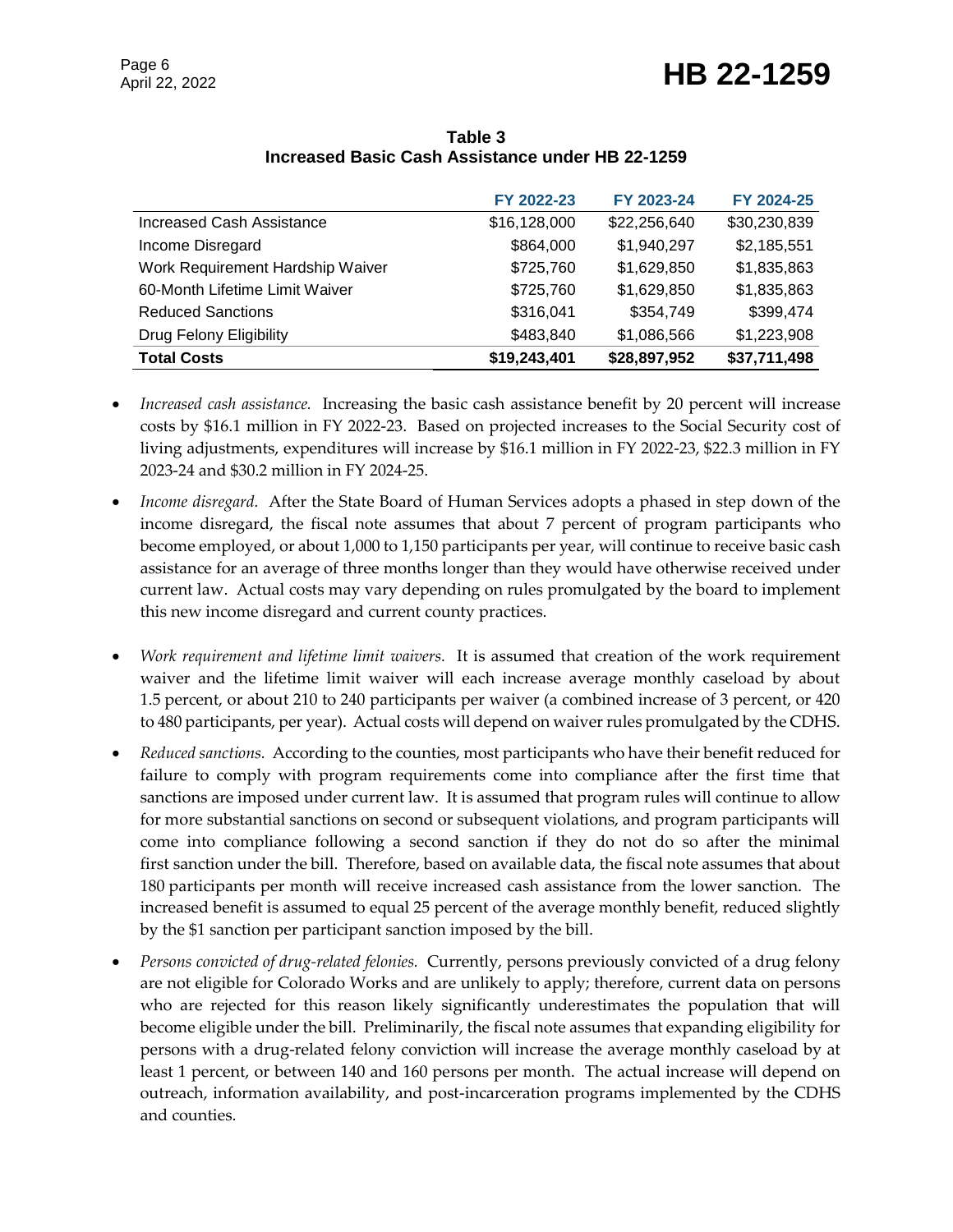|                                  | FY 2022-23   | FY 2023-24   | FY 2024-25   |
|----------------------------------|--------------|--------------|--------------|
| <b>Increased Cash Assistance</b> | \$16,128,000 | \$22,256,640 | \$30,230,839 |
| Income Disregard                 | \$864,000    | \$1,940,297  | \$2,185,551  |
| Work Requirement Hardship Waiver | \$725,760    | \$1,629,850  | \$1,835,863  |
| 60-Month Lifetime Limit Waiver   | \$725,760    | \$1,629,850  | \$1,835,863  |
| <b>Reduced Sanctions</b>         | \$316,041    | \$354,749    | \$399,474    |
| Drug Felony Eligibility          | \$483,840    | \$1,086,566  | \$1,223,908  |
| <b>Total Costs</b>               | \$19,243,401 | \$28,897,952 | \$37,711,498 |

**Table 3 Increased Basic Cash Assistance under HB 22-1259**

- *Increased cash assistance.* Increasing the basic cash assistance benefit by 20 percent will increase costs by \$16.1 million in FY 2022-23. Based on projected increases to the Social Security cost of living adjustments, expenditures will increase by \$16.1 million in FY 2022-23, \$22.3 million in FY 2023-24 and \$30.2 million in FY 2024-25.
- *Income disregard.* After the State Board of Human Services adopts a phased in step down of the income disregard, the fiscal note assumes that about 7 percent of program participants who become employed, or about 1,000 to 1,150 participants per year, will continue to receive basic cash assistance for an average of three months longer than they would have otherwise received under current law. Actual costs may vary depending on rules promulgated by the board to implement this new income disregard and current county practices.
- *Work requirement and lifetime limit waivers.* It is assumed that creation of the work requirement waiver and the lifetime limit waiver will each increase average monthly caseload by about 1.5 percent, or about 210 to 240 participants per waiver (a combined increase of 3 percent, or 420 to 480 participants, per year). Actual costs will depend on waiver rules promulgated by the CDHS.
- *Reduced sanctions.* According to the counties, most participants who have their benefit reduced for failure to comply with program requirements come into compliance after the first time that sanctions are imposed under current law. It is assumed that program rules will continue to allow for more substantial sanctions on second or subsequent violations, and program participants will come into compliance following a second sanction if they do not do so after the minimal first sanction under the bill. Therefore, based on available data, the fiscal note assumes that about 180 participants per month will receive increased cash assistance from the lower sanction. The increased benefit is assumed to equal 25 percent of the average monthly benefit, reduced slightly by the \$1 sanction per participant sanction imposed by the bill.
- *Persons convicted of drug-related felonies.* Currently, persons previously convicted of a drug felony are not eligible for Colorado Works and are unlikely to apply; therefore, current data on persons who are rejected for this reason likely significantly underestimates the population that will become eligible under the bill. Preliminarily, the fiscal note assumes that expanding eligibility for persons with a drug-related felony conviction will increase the average monthly caseload by at least 1 percent, or between 140 and 160 persons per month. The actual increase will depend on outreach, information availability, and post-incarceration programs implemented by the CDHS and counties.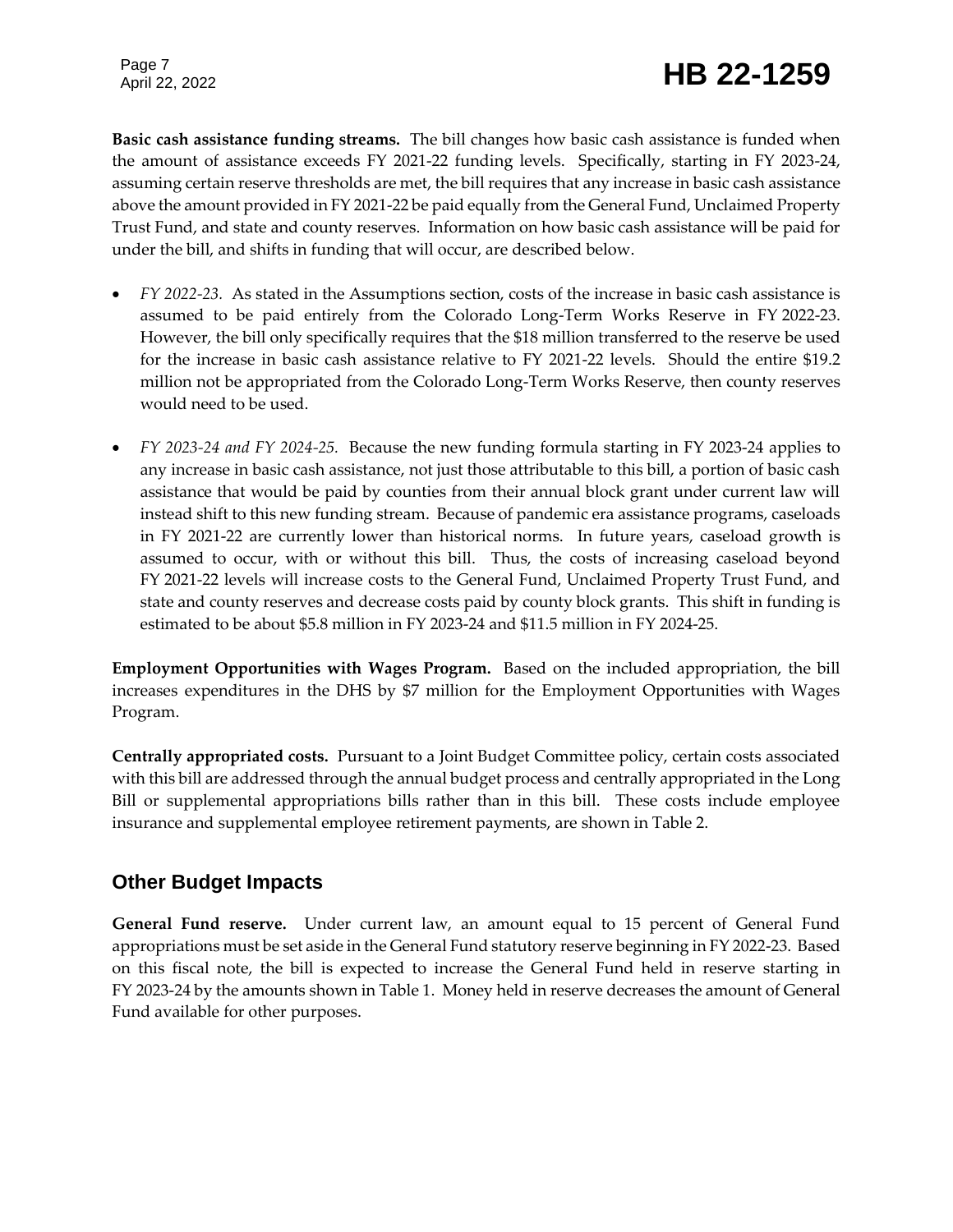## Page 7<br>April 22, 2022 **HB 22-1259**

**Basic cash assistance funding streams.** The bill changes how basic cash assistance is funded when the amount of assistance exceeds FY 2021-22 funding levels. Specifically, starting in FY 2023-24, assuming certain reserve thresholds are met, the bill requires that any increase in basic cash assistance above the amount provided in FY 2021-22 be paid equally from the General Fund, Unclaimed Property Trust Fund, and state and county reserves. Information on how basic cash assistance will be paid for under the bill, and shifts in funding that will occur, are described below.

- *FY 2022-23.* As stated in the Assumptions section, costs of the increase in basic cash assistance is assumed to be paid entirely from the Colorado Long-Term Works Reserve in FY 2022-23. However, the bill only specifically requires that the \$18 million transferred to the reserve be used for the increase in basic cash assistance relative to FY 2021-22 levels. Should the entire \$19.2 million not be appropriated from the Colorado Long-Term Works Reserve, then county reserves would need to be used.
- *FY 2023-24 and FY 2024-25.* Because the new funding formula starting in FY 2023-24 applies to any increase in basic cash assistance, not just those attributable to this bill, a portion of basic cash assistance that would be paid by counties from their annual block grant under current law will instead shift to this new funding stream. Because of pandemic era assistance programs, caseloads in FY 2021-22 are currently lower than historical norms. In future years, caseload growth is assumed to occur, with or without this bill. Thus, the costs of increasing caseload beyond FY 2021-22 levels will increase costs to the General Fund, Unclaimed Property Trust Fund, and state and county reserves and decrease costs paid by county block grants. This shift in funding is estimated to be about \$5.8 million in FY 2023-24 and \$11.5 million in FY 2024-25.

**Employment Opportunities with Wages Program.** Based on the included appropriation, the bill increases expenditures in the DHS by \$7 million for the Employment Opportunities with Wages Program.

**Centrally appropriated costs.** Pursuant to a Joint Budget Committee policy, certain costs associated with this bill are addressed through the annual budget process and centrally appropriated in the Long Bill or supplemental appropriations bills rather than in this bill. These costs include employee insurance and supplemental employee retirement payments, are shown in Table 2.

#### **Other Budget Impacts**

**General Fund reserve.** Under current law, an amount equal to 15 percent of General Fund appropriations must be set aside in the General Fund statutory reserve beginning in FY 2022-23. Based on this fiscal note, the bill is expected to increase the General Fund held in reserve starting in FY 2023-24 by the amounts shown in Table 1. Money held in reserve decreases the amount of General Fund available for other purposes.